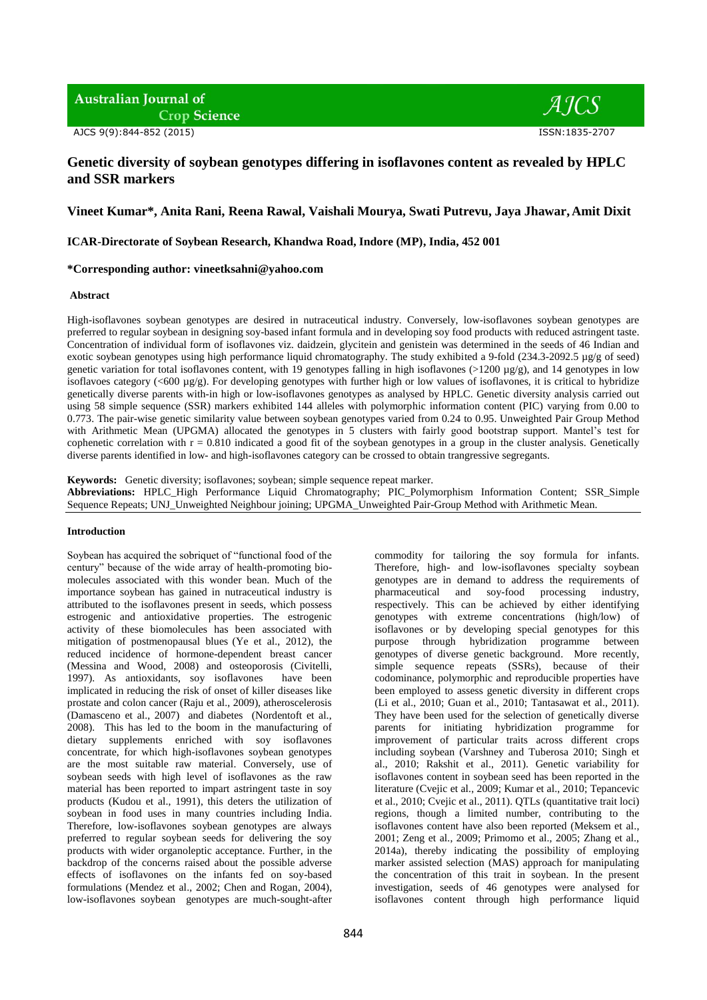**Australian Journal of Crop Science** 

 $AICS$ 

# **Genetic diversity of soybean genotypes differing in isoflavones content as revealed by HPLC and SSR markers**

# **Vineet Kumar\*, Anita Rani, Reena Rawal, Vaishali Mourya, Swati Putrevu, Jaya Jhawar, Amit Dixit**

# **ICAR-Directorate of Soybean Research, Khandwa Road, Indore (MP), India, 452 001**

# **\*Corresponding author: [vineetksahni@yahoo.com](mailto:vineetksahni@yahoo.com)**

#### **Abstract**

High-isoflavones soybean genotypes are desired in nutraceutical industry. Conversely, low-isoflavones soybean genotypes are preferred to regular soybean in designing soy-based infant formula and in developing soy food products with reduced astringent taste. Concentration of individual form of isoflavones viz. daidzein, glycitein and genistein was determined in the seeds of 46 Indian and exotic soybean genotypes using high performance liquid chromatography. The study exhibited a 9-fold (234.3-2092.5  $\mu$ g/g of seed) genetic variation for total isoflavones content, with 19 genotypes falling in high isoflavones (>1200 µg/g), and 14 genotypes in low isoflavoes category (<600 µg/g). For developing genotypes with further high or low values of isoflavones, it is critical to hybridize genetically diverse parents with-in high or low-isoflavones genotypes as analysed by HPLC. Genetic diversity analysis carried out using 58 simple sequence (SSR) markers exhibited 144 alleles with polymorphic information content (PIC) varying from 0.00 to 0.773. The pair-wise genetic similarity value between soybean genotypes varied from 0.24 to 0.95. Unweighted Pair Group Method with Arithmetic Mean (UPGMA) allocated the genotypes in 5 clusters with fairly good bootstrap support. Mantel's test for cophenetic correlation with  $r = 0.810$  indicated a good fit of the soybean genotypes in a group in the cluster analysis. Genetically diverse parents identified in low- and high-isoflavones category can be crossed to obtain trangressive segregants.

**Keywords:**Genetic diversity; isoflavones; soybean; simple sequence repeat marker. **Abbreviations:** HPLC\_High Performance Liquid Chromatography; PIC\_Polymorphism Information Content; SSR\_Simple Sequence Repeats; UNJ\_Unweighted Neighbour joining; UPGMA\_Unweighted Pair-Group Method with Arithmetic Mean.

#### **Introduction**

Soybean has acquired the sobriquet of "functional food of the century" because of the wide array of health-promoting biomolecules associated with this wonder bean. Much of the importance soybean has gained in nutraceutical industry is attributed to the isoflavones present in seeds, which possess estrogenic and antioxidative properties. The estrogenic activity of these biomolecules has been associated with mitigation of postmenopausal blues (Ye et al., 2012), the reduced incidence of hormone-dependent breast cancer (Messina and Wood, 2008) and osteoporosis (Civitelli, 1997). As antioxidants, soy isoflavones have been implicated in reducing the risk of onset of killer diseases like prostate and colon cancer (Raju et al., 2009), atheroscelerosis (Damasceno et al., 2007) and diabetes (Nordentoft et al., 2008). This has led to the boom in the manufacturing of dietary supplements enriched with soy isoflavones concentrate, for which high-isoflavones soybean genotypes are the most suitable raw material. Conversely, use of soybean seeds with high level of isoflavones as the raw material has been reported to impart astringent taste in soy products (Kudou et al., 1991), this deters the utilization of soybean in food uses in many countries including India. Therefore, low-isoflavones soybean genotypes are always preferred to regular soybean seeds for delivering the soy products with wider organoleptic acceptance. Further, in the backdrop of the concerns raised about the possible adverse effects of isoflavones on the infants fed on soy-based formulations (Mendez et al., 2002; Chen and Rogan, 2004), low-isoflavones soybean genotypes are much-sought-after

commodity for tailoring the soy formula for infants. Therefore, high- and low-isoflavones specialty soybean genotypes are in demand to address the requirements of pharmaceutical and soy-food processing industry, pharmaceutical and soy-food processing industry, respectively. This can be achieved by either identifying genotypes with extreme concentrations (high/low) of isoflavones or by developing special genotypes for this purpose through hybridization programme between genotypes of diverse genetic background. More recently, simple sequence repeats (SSRs), because of their codominance, polymorphic and reproducible properties have been employed to assess genetic diversity in different crops (Li et al., 2010; Guan et al., 2010; Tantasawat et al., 2011). They have been used for the selection of genetically diverse parents for initiating hybridization programme for improvement of particular traits across different crops including soybean (Varshney and Tuberosa 2010; Singh et al., 2010; Rakshit et al., 2011). Genetic variability for isoflavones content in soybean seed has been reported in the literature (Cvejic et al., 2009; Kumar et al., 2010; Tepancevic et al., 2010; Cvejic et al., 2011). QTLs (quantitative trait loci) regions, though a limited number, contributing to the isoflavones content have also been reported (Meksem et al., 2001; Zeng et al., 2009; Primomo et al., 2005; Zhang et al., 2014a), thereby indicating the possibility of employing marker assisted selection (MAS) approach for manipulating the concentration of this trait in soybean. In the present investigation, seeds of 46 genotypes were analysed for isoflavones content through high performance liquid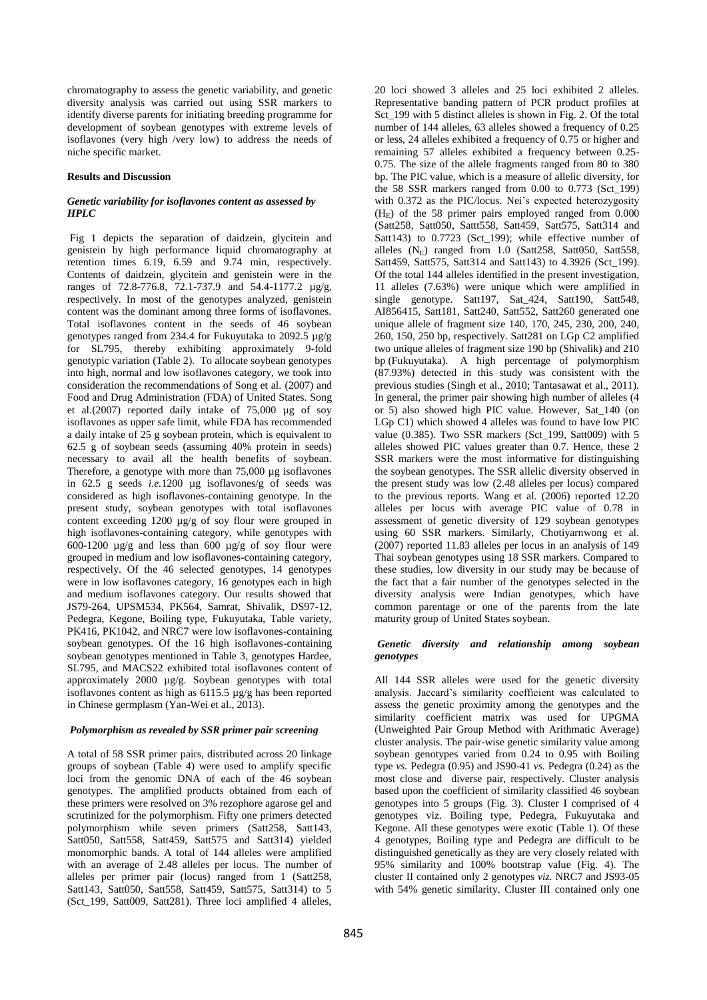chromatography to assess the genetic variability, and genetic diversity analysis was carried out using SSR markers to identify diverse parents for initiating breeding programme for development of soybean genotypes with extreme levels of isoflavones (very high /very low) to address the needs of niche specific market.

# **Results and Discussion**

# *Genetic variability for isoflavones content as assessed by HPLC*

Fig 1 depicts the separation of daidzein, glycitein and genistein by high performance liquid chromatography at retention times 6.19, 6.59 and 9.74 min, respectively. Contents of daidzein, glycitein and genistein were in the ranges of 72.8-776.8, 72.1-737.9 and 54.4-1177.2 µg/g, respectively. In most of the genotypes analyzed, genistein content was the dominant among three forms of isoflavones. Total isoflavones content in the seeds of 46 soybean genotypes ranged from 234.4 for Fukuyutaka to 2092.5 µg/g for SL795, thereby exhibiting approximately 9-fold genotypic variation (Table 2). To allocate soybean genotypes into high, normal and low isoflavones category, we took into consideration the recommendations of Song et al. (2007) and Food and Drug Administration (FDA) of United States. Song et al.(2007) reported daily intake of 75,000 µg of soy isoflavones as upper safe limit, while FDA has recommended a daily intake of 25 g soybean protein, which is equivalent to 62.5 g of soybean seeds (assuming 40% protein in seeds) necessary to avail all the health benefits of soybean. Therefore, a genotype with more than 75,000 µg isoflavones in 62.5 g seeds *i.e.*1200 µg isoflavones/g of seeds was considered as high isoflavones-containing genotype. In the present study, soybean genotypes with total isoflavones content exceeding 1200 µg/g of soy flour were grouped in high isoflavones-containing category, while genotypes with 600-1200 µg/g and less than 600 µg/g of soy flour were grouped in medium and low isoflavones-containing category, respectively. Of the 46 selected genotypes, 14 genotypes were in low isoflavones category, 16 genotypes each in high and medium isoflavones category. Our results showed that JS79-264, UPSM534, PK564, Samrat, Shivalik, DS97-12, Pedegra, Kegone, Boiling type, Fukuyutaka, Table variety, PK416, PK1042, and NRC7 were low isoflavones-containing soybean genotypes. Of the 16 high isoflavones-containing soybean genotypes mentioned in Table 3, genotypes Hardee, SL795, and MACS22 exhibited total isoflavones content of approximately 2000 µg/g. Soybean genotypes with total isoflavones content as high as 6115.5 µg/g has been reported in Chinese germplasm (Yan-Wei et al., 2013).

# *Polymorphism as revealed by SSR primer pair screening*

A total of 58 SSR primer pairs, distributed across 20 linkage groups of soybean (Table 4) were used to amplify specific loci from the genomic DNA of each of the 46 soybean genotypes. The amplified products obtained from each of these primers were resolved on 3% rezophore agarose gel and scrutinized for the polymorphism. Fifty one primers detected polymorphism while seven primers (Satt258, Satt143, Satt050, Satt558, Satt459, Satt575 and Satt314) yielded monomorphic bands. A total of 144 alleles were amplified with an average of 2.48 alleles per locus. The number of alleles per primer pair (locus) ranged from 1 (Satt258, Satt143, Satt050, Satt558, Satt459, Satt575, Satt314) to 5 (Sct\_199, Satt009, Satt281). Three loci amplified 4 alleles,

20 loci showed 3 alleles and 25 loci exhibited 2 alleles. Representative banding pattern of PCR product profiles at Sct\_199 with 5 distinct alleles is shown in Fig. 2. Of the total number of 144 alleles, 63 alleles showed a frequency of 0.25 or less, 24 alleles exhibited a frequency of 0.75 or higher and remaining 57 alleles exhibited a frequency between 0.25- 0.75. The size of the allele fragments ranged from 80 to 380 bp. The PIC value, which is a measure of allelic diversity, for the 58 SSR markers ranged from 0.00 to 0.773 (Sct\_199) with 0.372 as the PIC/locus. Nei's expected heterozygosity  $(H<sub>E</sub>)$  of the 58 primer pairs employed ranged from 0.000 (Satt258, Satt050, Sattt558, Satt459, Satt575, Satt314 and Satt143) to 0.7723 (Sct\_199); while effective number of alleles  $(N_E)$  ranged from 1.0 (Satt258, Satt050, Satt558, Satt459, Satt575, Satt314 and Satt143) to 4.3926 (Sct\_199). Of the total 144 alleles identified in the present investigation, 11 alleles (7.63%) were unique which were amplified in single genotype. Satt197, Sat\_424, Satt190, Satt548, AI856415, Satt181, Satt240, Satt552, Satt260 generated one unique allele of fragment size 140, 170, 245, 230, 200, 240, 260, 150, 250 bp, respectively. Satt281 on LGp C2 amplified two unique alleles of fragment size 190 bp (Shivalik) and 210 bp (Fukuyutaka). A high percentage of polymorphism (87.93%) detected in this study was consistent with the previous studies (Singh et al., 2010; Tantasawat et al., 2011). In general, the primer pair showing high number of alleles (4 or 5) also showed high PIC value. However, Sat\_140 (on LGp C1) which showed 4 alleles was found to have low PIC value (0.385). Two SSR markers (Sct\_199, Satt009) with 5 alleles showed PIC values greater than 0.7. Hence, these 2 SSR markers were the most informative for distinguishing the soybean genotypes. The SSR allelic diversity observed in the present study was low (2.48 alleles per locus) compared to the previous reports. Wang et al. (2006) reported 12.20 alleles per locus with average PIC value of 0.78 in assessment of genetic diversity of 129 soybean genotypes using 60 SSR markers. Similarly, Chotiyarnwong et al. (2007) reported 11.83 alleles per locus in an analysis of 149 Thai soybean genotypes using 18 SSR markers. Compared to these studies, low diversity in our study may be because of the fact that a fair number of the genotypes selected in the diversity analysis were Indian genotypes, which have common parentage or one of the parents from the late maturity group of United States soybean.

# *Genetic diversity and relationship among soybean genotypes*

All 144 SSR alleles were used for the genetic diversity analysis. Jaccard's similarity coefficient was calculated to assess the genetic proximity among the genotypes and the similarity coefficient matrix was used for UPGMA (Unweighted Pair Group Method with Arithmatic Average) cluster analysis. The pair-wise genetic similarity value among soybean genotypes varied from 0.24 to 0.95 with Boiling type *vs.* Pedegra (0.95) and JS90-41 *vs.* Pedegra (0.24) as the most close and diverse pair, respectively. Cluster analysis based upon the coefficient of similarity classified 46 soybean genotypes into 5 groups (Fig. 3). Cluster I comprised of 4 genotypes viz. Boiling type, Pedegra, Fukuyutaka and Kegone. All these genotypes were exotic (Table 1). Of these 4 genotypes, Boiling type and Pedegra are difficult to be distinguished genetically as they are very closely related with 95% similarity and 100% bootstrap value (Fig. 4). The cluster II contained only 2 genotypes *viz.* NRC7 and JS93-05 with 54% genetic similarity. Cluster III contained only one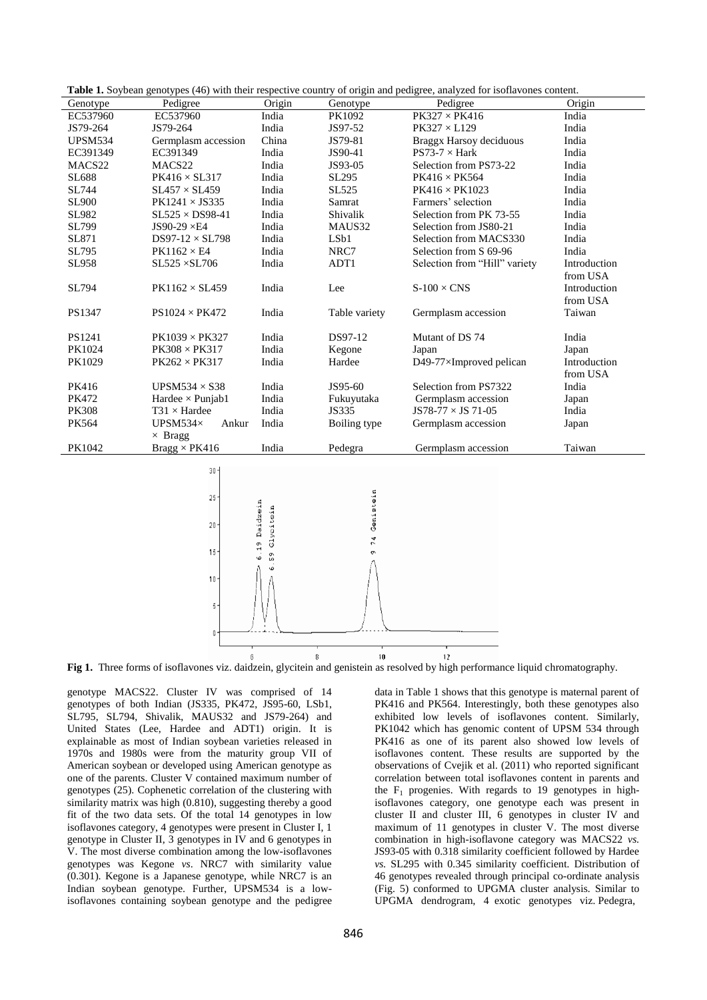| <b>Table 1.</b> Soybean genotypes (46) with their respective country of origin and pedigree, analyzed for isoflavones content. |                                     |               |                |                               |              |  |  |
|--------------------------------------------------------------------------------------------------------------------------------|-------------------------------------|---------------|----------------|-------------------------------|--------------|--|--|
| Genotype                                                                                                                       | Pedigree                            | Origin        | Genotype       | Pedigree                      | Origin       |  |  |
| EC537960                                                                                                                       | EC537960                            | India         | PK1092         | $PK327 \times PK416$          | India        |  |  |
| JS79-264                                                                                                                       | JS79-264                            | India         | JS97-52        | $PK327 \times L129$           | India        |  |  |
| <b>UPSM534</b>                                                                                                                 | Germplasm accession                 | China         | JS79-81        | Braggx Harsoy deciduous       | India        |  |  |
| EC391349                                                                                                                       | EC391349                            | India         | JS90-41        | $PS73-7 \times Hark$          | India        |  |  |
| MACS22                                                                                                                         | MACS22                              | India         | JS93-05        | Selection from PS73-22        | India        |  |  |
| SL688                                                                                                                          | $PK416 \times SL317$                | India         | SL295          | $PK416 \times PK564$          | India        |  |  |
| SL744                                                                                                                          | $SL457 \times SL459$                | India         | SL525          | $PK416 \times PK1023$         | India        |  |  |
| <b>SL900</b>                                                                                                                   | $PK1241 \times JS335$               | India         | Samrat         | Farmers' selection            | India        |  |  |
| SL982                                                                                                                          | $SL525 \times DS98-41$              | India         | Shivalik       | Selection from PK 73-55       | India        |  |  |
| SL799                                                                                                                          | JS90-29 ×E4                         | India         | MAUS32         | Selection from JS80-21        | India        |  |  |
| SL871                                                                                                                          | DS97-12 $\times$ SL798              | India         | LSb1           | Selection from MACS330        | India        |  |  |
| SL795                                                                                                                          | $PK1162 \times E4$                  | India         | NRC7           | Selection from S 69-96        | India        |  |  |
| SL958                                                                                                                          | $SL525 \times SL706$                | India         | ADT1           | Selection from "Hill" variety | Introduction |  |  |
|                                                                                                                                |                                     |               |                |                               | from USA     |  |  |
| SL794                                                                                                                          | $PK1162 \times SL459$               | India         | Lee            | $S-100 \times CMS$            | Introduction |  |  |
|                                                                                                                                |                                     |               |                |                               | from USA     |  |  |
| PS1347                                                                                                                         | $\text{PS}1024 \times \text{PK}472$ | India         | Table variety  | Germplasm accession           | Taiwan       |  |  |
|                                                                                                                                |                                     |               |                |                               |              |  |  |
| PS1241                                                                                                                         | $PK1039 \times PK327$               | India         | DS97-12        | Mutant of DS 74               | India        |  |  |
| PK1024                                                                                                                         | $PK308 \times PK317$                | India         | Kegone         | Japan                         | Japan        |  |  |
| PK1029                                                                                                                         | $PK262 \times PK317$                | India         | Hardee         | D49-77×Improved pelican       | Introduction |  |  |
|                                                                                                                                |                                     |               |                |                               | from USA     |  |  |
| PK416                                                                                                                          | UPSM534 $\times$ S38                | India         | JS95-60        | Selection from PS7322         | India        |  |  |
| PK472                                                                                                                          | Hardee $\times$ Punjab1             | India         | Fukuyutaka     | Germplasm accession           | Japan        |  |  |
| <b>PK308</b>                                                                                                                   | $T31 \times H$ ardee                | India         | JS335          | $JS78-77 \times JS 71-05$     | India        |  |  |
| PK564                                                                                                                          | UPSM534×<br>Ankur                   | India         | Boiling type   | Germplasm accession           | Japan        |  |  |
|                                                                                                                                | $\times$ Bragg                      |               |                |                               |              |  |  |
| PK1042                                                                                                                         | $Bragg \times PK416$                | India         | Pedegra        | Germplasm accession           | Taiwan       |  |  |
|                                                                                                                                |                                     |               |                |                               |              |  |  |
|                                                                                                                                | $30 -$                              |               |                |                               |              |  |  |
|                                                                                                                                |                                     |               |                |                               |              |  |  |
|                                                                                                                                | $25 -$                              |               |                |                               |              |  |  |
|                                                                                                                                |                                     |               |                |                               |              |  |  |
|                                                                                                                                | $20 -$                              |               | Genistein      |                               |              |  |  |
|                                                                                                                                |                                     | Glycitein     |                |                               |              |  |  |
|                                                                                                                                |                                     | 6.19 Daidzein | 74<br>$\sigma$ |                               |              |  |  |
|                                                                                                                                | $15 -$                              | 59            |                |                               |              |  |  |
|                                                                                                                                |                                     | $\omega$      |                |                               |              |  |  |
|                                                                                                                                | $10 -$                              |               |                |                               |              |  |  |
|                                                                                                                                |                                     |               |                |                               |              |  |  |
|                                                                                                                                | 5.                                  |               |                |                               |              |  |  |
|                                                                                                                                |                                     |               |                |                               |              |  |  |
|                                                                                                                                | $0 \cdot$                           |               |                |                               |              |  |  |
|                                                                                                                                |                                     |               |                |                               |              |  |  |
|                                                                                                                                | 6                                   |               | 8<br>$10\,$    | 12                            |              |  |  |

**Table 1.** Soybean genotypes (46) with their respective country of origin and pedigree, analyzed for isoflavones content.

**Fig 1.** Three forms of isoflavones viz. daidzein, glycitein and genistein as resolved by high performance liquid chromatography.

genotype MACS22. Cluster IV was comprised of 14 genotypes of both Indian (JS335, PK472, JS95-60, LSb1, SL795, SL794, Shivalik, MAUS32 and JS79-264) and United States (Lee, Hardee and ADT1) origin. It is explainable as most of Indian soybean varieties released in 1970s and 1980s were from the maturity group VII of American soybean or developed using American genotype as one of the parents. Cluster V contained maximum number of genotypes (25). Cophenetic correlation of the clustering with similarity matrix was high (0.810), suggesting thereby a good fit of the two data sets. Of the total 14 genotypes in low isoflavones category, 4 genotypes were present in Cluster I, 1 genotype in Cluster II, 3 genotypes in IV and 6 genotypes in V. The most diverse combination among the low-isoflavones genotypes was Kegone *vs*. NRC7 with similarity value (0.301). Kegone is a Japanese genotype, while NRC7 is an Indian soybean genotype. Further, UPSM534 is a lowisoflavones containing soybean genotype and the pedigree

data in Table 1 shows that this genotype is maternal parent of PK416 and PK564. Interestingly, both these genotypes also exhibited low levels of isoflavones content. Similarly, PK1042 which has genomic content of UPSM 534 through PK416 as one of its parent also showed low levels of isoflavones content. These results are supported by the observations of Cvejik et al. (2011) who reported significant correlation between total isoflavones content in parents and the  $F_1$  progenies. With regards to 19 genotypes in highisoflavones category, one genotype each was present in cluster II and cluster III, 6 genotypes in cluster IV and maximum of 11 genotypes in cluster V. The most diverse combination in high-isoflavone category was MACS22 *vs.* JS93-05 with 0.318 similarity coefficient followed by Hardee *vs.* SL295 with 0.345 similarity coefficient. Distribution of 46 genotypes revealed through principal co-ordinate analysis (Fig. 5) conformed to UPGMA cluster analysis. Similar to UPGMA dendrogram, 4 exotic genotypes viz. Pedegra,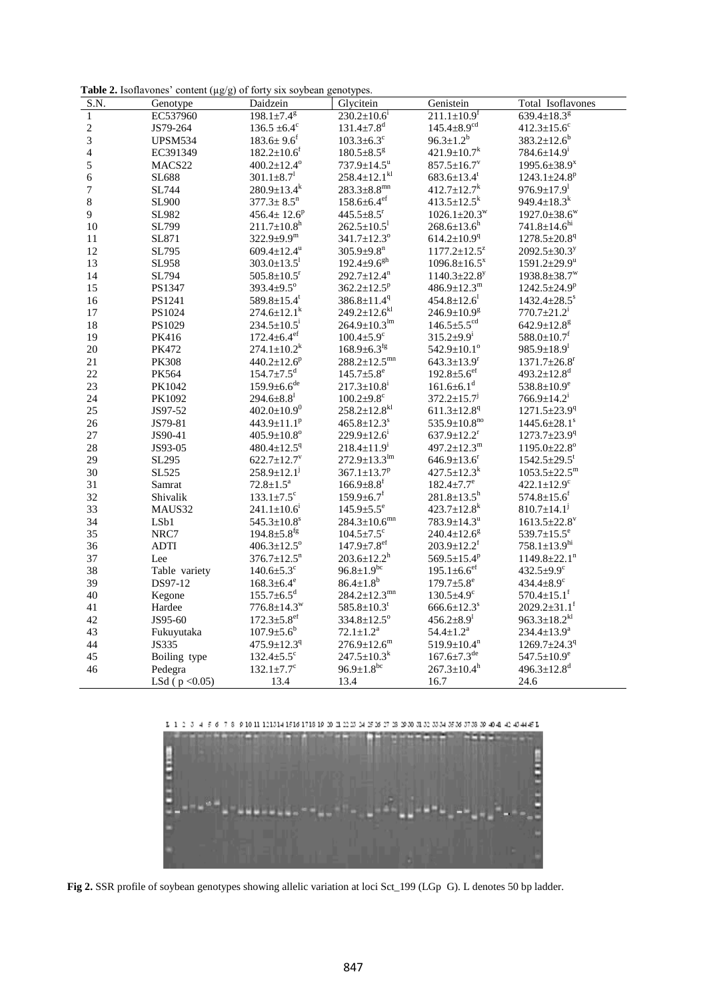Table 2. Isoflavones' content (µg/g) of forty six soybean genotypes.

| S.N.                    | Genotype           | Daidzein                      | Glycitein                      | Genistein                      | Total Isoflavones              |
|-------------------------|--------------------|-------------------------------|--------------------------------|--------------------------------|--------------------------------|
| $\mathbf{1}$            | EC537960           | $198.1 \pm 7.4^g$             | $230.2 \pm 10.6^i$             | $211.1 \pm 10.9$ <sup>f</sup>  | 639.4 $\pm$ 18.3 $8$           |
| $\sqrt{2}$              | JS79-264           | $136.5 \pm 6.4^c$             | $131.4 \pm 7.8$ <sup>d</sup>   | $145.4 \pm 8.9$ <sup>cd</sup>  | $412.3 \pm 15.6$ <sup>c</sup>  |
| 3                       | <b>UPSM534</b>     | $183.6 \pm 9.6$ <sup>f</sup>  | $103.3 \pm 6.3$ <sup>c</sup>   | $96.3 \pm 1.2^b$               | $383.2 \pm 12.6^b$             |
| $\overline{\mathbf{4}}$ | EC391349           | $182.2 \pm 10.6$ <sup>f</sup> | $180.5 \pm 8.5$ <sup>g</sup>   | $421.9 \pm 10.7$ <sup>k</sup>  | $784.6 \pm 14.9^i$             |
| 5                       | MACS22             | $400.2 \pm 12.4^{\circ}$      | $737.9 \pm 14.5^u$             | $857.5 \pm 16.7$ <sup>v</sup>  | 1995.6 $\pm$ 38.9 <sup>x</sup> |
| 6                       | SL688              | $301.1 \pm 8.7$ <sup>1</sup>  | $258.4 \pm 12.1$ <sup>kl</sup> | $683.6 \pm 13.4^t$             | $1243.1 \pm 24.8$ <sup>p</sup> |
| 7                       | SL744              | $280.9 \pm 13.4^k$            | $283.3 \pm 8.8$ <sup>mn</sup>  | $412.7 \pm 12.7$ <sup>k</sup>  | $976.9 \pm 17.9$ <sup>1</sup>  |
| 8                       | <b>SL900</b>       | $377.3 \pm 8.5$ <sup>n</sup>  | $158.6 \pm 6.4$ <sup>ef</sup>  | $413.5 \pm 12.5$ <sup>k</sup>  | 949.4 $\pm$ 18.3 <sup>k</sup>  |
| 9                       | SL982              | $456.4 \pm 12.6^p$            | $445.5 \pm 8.5$ <sup>r</sup>   | $1026.1 \pm 20.3^{\mathrm{w}}$ | $1927.0 \pm 38.6^{\mathrm{w}}$ |
| $10\,$                  | SL799              | $211.7 \pm 10.8$ <sup>h</sup> | $262.5 \pm 10.5$ <sup>1</sup>  | $268.6 \pm 13.6$ <sup>h</sup>  | $741.8 \pm 14.6$ <sup>hi</sup> |
| $11\,$                  | SL871              | $322.9 \pm 9.9^{\rm m}$       | $341.7 \pm 12.3$ <sup>o</sup>  | $614.2 \pm 10.9$ <sup>q</sup>  | $1278.5 \pm 20.8$ <sup>q</sup> |
| 12                      | SL795              | 609.4 $\pm$ 12.4 <sup>u</sup> | $305.9 \pm 9.8$ <sup>n</sup>   | $1177.2 \pm 12.5^z$            | $2092.5 \pm 30.3^y$            |
| 13                      | SL958              | $303.0 \pm 13.5^1$            | $192.4 \pm 9.6$ <sup>gh</sup>  | $1096.8 \pm 16.5^x$            | $1591.2 \pm 29.9^u$            |
| 14                      | SL794              | $505.8 \pm 10.5$ <sup>r</sup> | $292.7 \pm 12.4$ <sup>n</sup>  | $1140.3 \pm 22.8$ <sup>y</sup> | $1938.8 \pm 38.7^{\mathrm{w}}$ |
| 15                      | PS1347             | $393.4 \pm 9.5^{\circ}$       | $362.2 \pm 12.5^p$             | $486.9 \pm 12.3^m$             | $1242.5 \pm 24.9^p$            |
| 16                      | PS1241             | 589.8±15.4 <sup>t</sup>       | $386.8 \pm 11.4$ <sup>q</sup>  | $454.8 \pm 12.6$ <sup>1</sup>  | $1432.4 \pm 28.5$ <sup>s</sup> |
| $17\,$                  | PS1024             | $274.6 \pm 12.1^k$            | $249.2 \pm 12.6^{kl}$          | $246.9 \pm 10.9$ <sup>g</sup>  | $770.7 \pm 21.2^i$             |
| $18\,$                  | PS1029             | $234.5 \pm 10.5^i$            | $264.9 \pm 10.3^{\text{lm}}$   | $146.5 \pm 5.5$ <sup>cd</sup>  | $642.9 \pm 12.8$ <sup>g</sup>  |
| 19                      | PK416              | $172.4 \pm 6.4$ <sup>ef</sup> | $100.4 \pm 5.9$ <sup>c</sup>   | $315.2 \pm 9.9$ <sup>i</sup>   | $588.0 \pm 10.7$ <sup>f</sup>  |
| 20                      | PK472              | $274.1 \pm 10.2^k$            | $168.9 \pm 6.3$ <sup>fg</sup>  | $542.9 \pm 10.1$ <sup>o</sup>  | $985.9 \pm 18.9^{\text{l}}$    |
| 21                      | <b>PK308</b>       | $440.2 \pm 12.6^p$            | $288.2 \pm 12.5$ <sup>mn</sup> | $643.3 \pm 13.9$ <sup>r</sup>  | $1371.7 \pm 26.8$ <sup>r</sup> |
| 22                      | PK564              | $154.7{\pm}7.5^{\text{d}}$    | $145.7 \pm 5.8$ <sup>e</sup>   | $192.8 \pm 5.6$ <sup>ef</sup>  | $493.2 \pm 12.8$ <sup>d</sup>  |
| 23                      | PK1042             | $159.9\pm6.6^{\text{de}}$     | $217.3 \pm 10.8$ <sup>i</sup>  | $161.6 \pm 6.1$ <sup>d</sup>   | 538.8 $\pm$ 10.9 $^{\rm e}$    |
| 24                      | PK1092             | $294.6 \pm 8.8^{\text{l}}$    | $100.2{\pm}9.8^{\rm c}$        | $372.2 \pm 15.7$ <sup>1</sup>  | $766.9 \pm 14.2^{\text{i}}$    |
| 25                      | JS97-52            | $402.0 \pm 10.9$ <sup>0</sup> | $258.2 \pm 12.8$ <sup>kl</sup> | $611.3 \pm 12.8$ <sup>q</sup>  | $1271.5 \pm 23.9$ <sup>q</sup> |
| 26                      | JS79-81            | $443.9 \pm 11.1$ <sup>p</sup> | $465.8 \pm 12.3$ <sup>s</sup>  | $535.9 \pm 10.8^{no}$          | $1445.6 \pm 28.1$ <sup>s</sup> |
| $27\,$                  | JS90-41            | $405.9 \pm 10.8$ °            | $229.9 \pm 12.6^i$             | $637.9 \pm 12.2$ <sup>r</sup>  | $1273.7 \pm 23.9$ <sup>q</sup> |
| $28\,$                  | JS93-05            | $480.4 \pm 12.5$ <sup>q</sup> | $218.4 \pm 11.9^i$             | $497.2 \pm 12.3^m$             | $1195.0 \pm 22.8$ <sup>o</sup> |
| 29                      | SL295              | $622.7 \pm 12.7$ <sup>v</sup> | $272.9 \pm 13.3^{\text{lm}}$   | $646.9 \pm 13.6$ <sup>r</sup>  | $1542.5 \pm 29.5$ <sup>t</sup> |
| 30                      | SL525              | $258.9 \pm 12.1$ <sup>j</sup> | $367.1 \pm 13.7^p$             | $427.5 \pm 12.3$ <sup>k</sup>  | $1053.5 \pm 22.5^m$            |
| 31                      | Samrat             | $72.8{\pm}1.5^{\mathrm{a}}$   | $166.9 \pm 8.8$ <sup>f</sup>   | $182.4 \pm 7.7$ <sup>e</sup>   | $422.1 \pm 12.9$ <sup>c</sup>  |
| 32                      | Shivalik           | $133.1 \pm 7.5$ <sup>c</sup>  | $159.9 \pm 6.7$ <sup>f</sup>   | $281.8 \pm 13.5$ <sup>h</sup>  | $574.8 \pm 15.6$ <sup>f</sup>  |
| 33                      | MAUS32             | $241.1 \pm 10.6^i$            | $145.9 \pm 5.5$ <sup>e</sup>   | $423.7 \pm 12.8$ <sup>k</sup>  | $810.7 \pm 14.1$ <sup>j</sup>  |
| 34                      | LSb1               | $545.3 \pm 10.8$ <sup>s</sup> | $284.3 \pm 10.6$ <sup>mn</sup> | $783.9 \pm 14.3^u$             | $1613.5 \pm 22.8$ <sup>v</sup> |
| 35                      | NRC7               | $194.8 \pm 5.8$ <sup>fg</sup> | $104.5 \pm 7.5$ <sup>c</sup>   | $240.4 \pm 12.6^g$             | 539.7 $\pm$ 15.5 $^{\rm e}$    |
| 36                      | <b>ADTI</b>        | $406.3 \pm 12.5$ <sup>o</sup> | $147.9 \pm 7.8$ ef             | $203.9 \pm 12.2$ <sup>f</sup>  | $758.1 \pm 13.9$ <sup>hi</sup> |
| 37                      | Lee                | $376.7 \pm 12.5$ <sup>n</sup> | $203.6 \pm 12.2$ <sup>h</sup>  | 569.5±15.4 <sup>p</sup>        | $1149.8 \pm 22.1$ <sup>n</sup> |
| 38                      | Table variety      | $140.6 \pm 5.3$ °             | $96.8 \pm 1.9^{bc}$            | $195.1 \pm 6.6$ <sup>ef</sup>  | 432.5 $\pm$ 9.9°               |
| 39                      | DS97-12            | $168.3 \pm 6.4^e$             | $86.4 \pm 1.8^b$               | $179.7 \pm 5.8$ <sup>e</sup>   | $434.4 \pm 8.9$ <sup>c</sup>   |
| 40                      | Kegone             | $155.7 \pm 6.5$ <sup>d</sup>  | $284.2 \pm 12.3$ <sup>mn</sup> | $130.5 \pm 4.9$ <sup>c</sup>   | $570.4 \pm 15.1$ <sup>f</sup>  |
| 41                      | Hardee             | $776.8 \pm 14.3^w$            | $585.8 \pm 10.3$ <sup>t</sup>  | $666.6 \pm 12.3$ <sup>s</sup>  | $2029.2 \pm 31.1$ <sup>f</sup> |
| 42                      | JS95-60            | $172.3 \pm 5.8$ <sup>ef</sup> | $334.8 \pm 12.5$ <sup>o</sup>  | $456.2 \pm 8.9$ <sup>1</sup>   | $963.3 \pm 18.2$ <sup>kl</sup> |
| 43                      | Fukuyutaka         | $107.9 \pm 5.6^{\circ}$       | $72.1 \pm 1.2^a$               | $54.4 \pm 1.2^{\rm a}$         | $234.4 \pm 13.9^a$             |
| 44                      | JS335              | $475.9 \pm 12.3$ <sup>q</sup> | $276.9 \pm 12.6^{\rm m}$       | $519.9 \pm 10.4$ <sup>n</sup>  | $1269.7 \pm 24.3$ <sup>q</sup> |
| 45                      | Boiling type       | $132.4 \pm 5.5$ °             | $247.5 \pm 10.3^k$             | $167.6 \pm 7.3$ <sup>de</sup>  | $547.5 \pm 10.9^e$             |
| 46                      | Pedegra            | $132.1 \pm 7.7$ °             | $96.9 \pm 1.8^{bc}$            | $267.3 \pm 10.4$ <sup>h</sup>  | $496.3 \pm 12.8$ <sup>d</sup>  |
|                         | LSd ( $p < 0.05$ ) | 13.4                          | 13.4                           | 16.7                           | 24.6                           |





**Fig 2.** SSR profile of soybean genotypes showing allelic variation at loci Sct\_199 (LGp G). L denotes 50 bp ladder.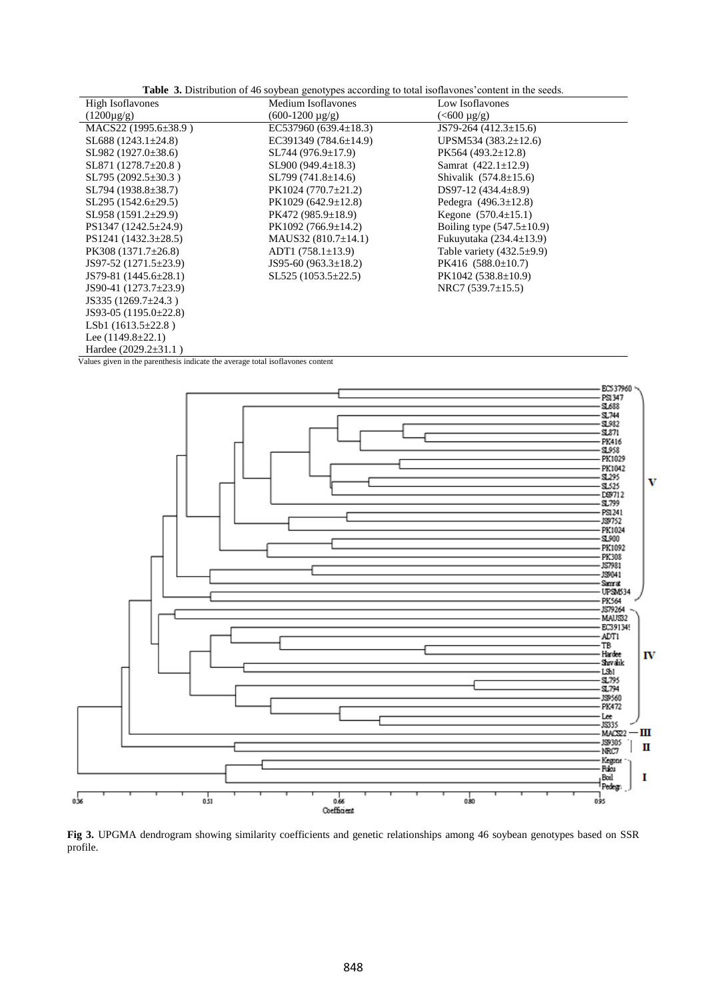| <b>High Isoflavones</b>     | Medium Isoflavones          | Low Isoflavones                 |
|-----------------------------|-----------------------------|---------------------------------|
| $(1200 \mu g/g)$            | $(600-1200 \text{ µg/g})$   | $(<\!\!600 \,\mu g/g)$          |
| $MACS22 (1995.6 \pm 38.9)$  | EC537960 $(639.4 \pm 18.3)$ | JS79-264 $(412.3 \pm 15.6)$     |
| $SL688$ (1243.1 $\pm$ 24.8) | EC391349 $(784.6 \pm 14.9)$ | UPSM534 $(383.2 \pm 12.6)$      |
| $SL982(1927.0\pm38.6)$      | $SL744(976.9\pm17.9)$       | $PK564(493.2 \pm 12.8)$         |
| $SL871 (1278.7 \pm 20.8)$   | $SL900(949.4\pm18.3)$       | Samrat $(422.1 \pm 12.9)$       |
| $SL795(2092.5\pm30.3)$      | $SL799(741.8\pm14.6)$       | Shivalik $(574.8 \pm 15.6)$     |
| $SL794 (1938.8 \pm 38.7)$   | $PK1024(770.7\pm21.2)$      | DS97-12 $(434.4\pm8.9)$         |
| $SL295(1542.6\pm 29.5)$     | $PK1029(642.9 \pm 12.8)$    | Pedegra $(496.3 \pm 12.8)$      |
| $SL958(1591.2\pm 29.9)$     | $PK472 (985.9 \pm 18.9)$    | Kegone $(570.4 \pm 15.1)$       |
| $PS1347 (1242.5 \pm 24.9)$  | $PK1092(766.9\pm14.2)$      | Boiling type $(547.5 \pm 10.9)$ |
| $PS1241 (1432.3 \pm 28.5)$  | $MAUS32 (810.7 \pm 14.1)$   | Fukuyutaka $(234.4 \pm 13.9)$   |
| PK308 $(1371.7 \pm 26.8)$   | ADT1 $(758.1 \pm 13.9)$     | Table variety $(432.5\pm9.9)$   |
| JS97-52 $(1271.5 \pm 23.9)$ | JS95-60 $(963.3 \pm 18.2)$  | PK416 $(588.0 \pm 10.7)$        |
| JS79-81 $(1445.6 \pm 28.1)$ | $SL525(1053.5\pm22.5)$      | $PK1042 (538.8 \pm 10.9)$       |
| JS90-41 $(1273.7 \pm 23.9)$ |                             | NRC7 $(539.7 \pm 15.5)$         |
| JS335 $(1269.7 \pm 24.3)$   |                             |                                 |
| JS93-05 $(1195.0 \pm 22.8)$ |                             |                                 |
| LSb1 $(1613.5 \pm 22.8)$    |                             |                                 |
| Lee $(1149.8 \pm 22.1)$     |                             |                                 |

Hardee (2029.2±31.1) Values given in the parenthesis indicate the average total isoflavones content



**Fig 3.** UPGMA dendrogram showing similarity coefficients and genetic relationships among 46 soybean genotypes based on SSR profile.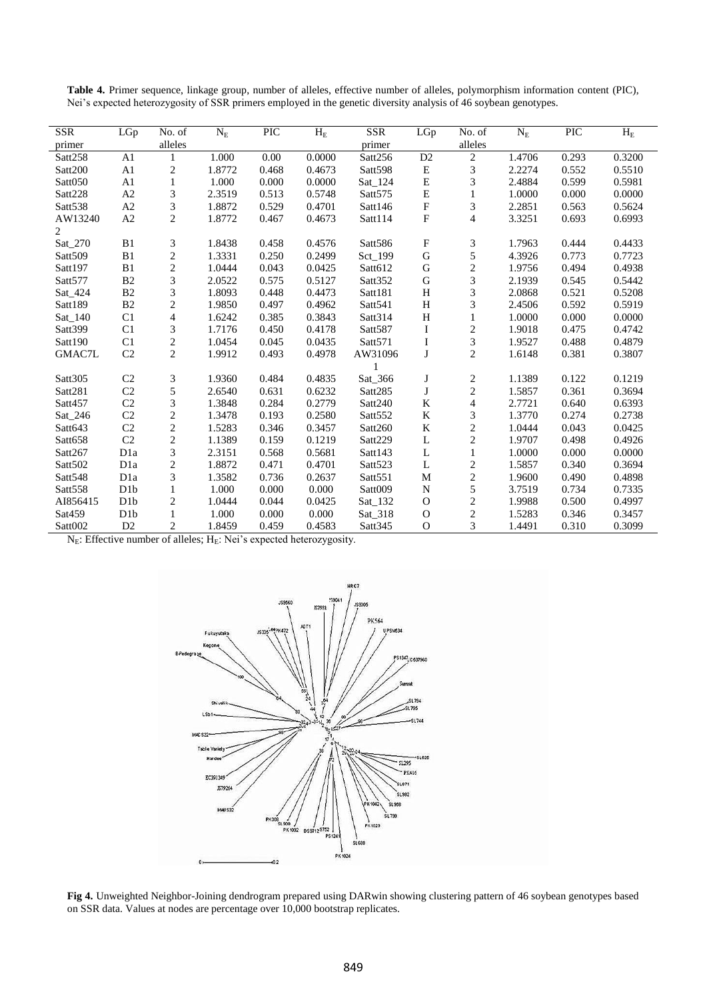| <b>SSR</b>          | LGp              | No. of                   | $\rm N_E$ | PIC   | $\mathbf{H}_{\rm E}$ | <b>SSR</b>          | LGp                       | No. of                  | $N_{E}$ | <b>PIC</b> | $\mathbf{H}_{\rm E}$ |
|---------------------|------------------|--------------------------|-----------|-------|----------------------|---------------------|---------------------------|-------------------------|---------|------------|----------------------|
| primer              |                  | alleles                  |           |       |                      | primer              |                           | alleles                 |         |            |                      |
| Satt258             | A <sub>1</sub>   |                          | 1.000     | 0.00  | 0.0000               | Satt256             | D <sub>2</sub>            | 2                       | 1.4706  | 0.293      | 0.3200               |
| Satt200             | A <sub>1</sub>   | $\boldsymbol{2}$         | 1.8772    | 0.468 | 0.4673               | Satt598             | ${\bf E}$                 | 3                       | 2.2274  | 0.552      | 0.5510               |
| Satt050             | A1               | $\mathbf{1}$             | 1.000     | 0.000 | 0.0000               | Sat_124             | ${\bf E}$                 | 3                       | 2.4884  | 0.599      | 0.5981               |
| Satt228             | A2               | 3                        | 2.3519    | 0.513 | 0.5748               | Satt <sub>575</sub> | $\mathbf E$               | 1                       | 1.0000  | 0.000      | 0.0000               |
| Satt538             | A2               | 3                        | 1.8872    | 0.529 | 0.4701               | Satt146             | $\boldsymbol{\mathrm{F}}$ | 3                       | 2.2851  | 0.563      | 0.5624               |
| AW13240             | A2               | $\overline{c}$           | 1.8772    | 0.467 | 0.4673               | Satt114             | $\mathbf F$               | $\overline{4}$          | 3.3251  | 0.693      | 0.6993               |
| 2                   |                  |                          |           |       |                      |                     |                           |                         |         |            |                      |
| Sat_270             | B1               | 3                        | 1.8438    | 0.458 | 0.4576               | Satt586             | ${\bf F}$                 | 3                       | 1.7963  | 0.444      | 0.4433               |
| Satt509             | B1               | $\overline{c}$           | 1.3331    | 0.250 | 0.2499               | Sct_199             | ${\bf G}$                 | 5                       | 4.3926  | 0.773      | 0.7723               |
| Satt197             | B1               | $\overline{c}$           | 1.0444    | 0.043 | 0.0425               | Satt612             | $\mathbf G$               | $\overline{c}$          | 1.9756  | 0.494      | 0.4938               |
| Satt577             | B2               | 3                        | 2.0522    | 0.575 | 0.5127               | Satt352             | ${\bf G}$                 | 3                       | 2.1939  | 0.545      | 0.5442               |
| Sat 424             | B2               | 3                        | 1.8093    | 0.448 | 0.4473               | Satt181             | H                         | 3                       | 2.0868  | 0.521      | 0.5208               |
| Satt189             | B <sub>2</sub>   | $\overline{c}$           | 1.9850    | 0.497 | 0.4962               | Satt541             | $\, {\rm H}$              | 3                       | 2.4506  | 0.592      | 0.5919               |
| Sat_140             | C1               | $\overline{\mathcal{L}}$ | 1.6242    | 0.385 | 0.3843               | Satt314             | $\mathbf H$               | 1                       | 1.0000  | 0.000      | 0.0000               |
| Satt399             | C1               | 3                        | 1.7176    | 0.450 | 0.4178               | Satt587             | I                         | $\overline{c}$          | 1.9018  | 0.475      | 0.4742               |
| Satt190             | C1               | $\overline{c}$           | 1.0454    | 0.045 | 0.0435               | Satt571             | I                         | 3                       | 1.9527  | 0.488      | 0.4879               |
| GMAC7L              | C2               | $\overline{c}$           | 1.9912    | 0.493 | 0.4978               | AW31096             | $\bf J$                   | $\mathbf{2}$            | 1.6148  | 0.381      | 0.3807               |
|                     |                  |                          |           |       |                      |                     |                           |                         |         |            |                      |
| Satt305             | C2               | 3                        | 1.9360    | 0.484 | 0.4835               | Sat_366             | J                         | $\overline{\mathbf{c}}$ | 1.1389  | 0.122      | 0.1219               |
| Satt281             | C <sub>2</sub>   | 5                        | 2.6540    | 0.631 | 0.6232               | Satt285             | $\bf J$                   | $\overline{c}$          | 1.5857  | 0.361      | 0.3694               |
| Satt457             | C <sub>2</sub>   | 3                        | 1.3848    | 0.284 | 0.2779               | Satt240             | ${\bf K}$                 | $\overline{4}$          | 2.7721  | 0.640      | 0.6393               |
| Sat_246             | C <sub>2</sub>   | $\overline{c}$           | 1.3478    | 0.193 | 0.2580               | Satt <sub>552</sub> | ${\bf K}$                 | 3                       | 1.3770  | 0.274      | 0.2738               |
| Satt643             | C2               | $\overline{c}$           | 1.5283    | 0.346 | 0.3457               | Satt260             | $\bf K$                   | $\overline{c}$          | 1.0444  | 0.043      | 0.0425               |
| Satt658             | C2               | $\overline{c}$           | 1.1389    | 0.159 | 0.1219               | Satt229             | $\mathbf L$               | $\overline{c}$          | 1.9707  | 0.498      | 0.4926               |
| Satt267             | D <sub>1</sub> a | 3                        | 2.3151    | 0.568 | 0.5681               | Satt143             | L                         | $\mathbf{1}$            | 1.0000  | 0.000      | 0.0000               |
| Satt <sub>502</sub> | D <sub>1</sub> a | $\overline{c}$           | 1.8872    | 0.471 | 0.4701               | Satt <sub>523</sub> | $\mathbf L$               | $\overline{c}$          | 1.5857  | 0.340      | 0.3694               |
| Satt548             | D <sub>1</sub> a | 3                        | 1.3582    | 0.736 | 0.2637               | Satt551             | ${\bf M}$                 | $\overline{c}$          | 1.9600  | 0.490      | 0.4898               |
| Satt558             | D <sub>1</sub> b | 1                        | 1.000     | 0.000 | 0.000                | Satt009             | ${\bf N}$                 | 5                       | 3.7519  | 0.734      | 0.7335               |
| AI856415            | D <sub>1</sub> b | $\mathfrak{2}$           | 1.0444    | 0.044 | 0.0425               | Sat_132             | $\Omega$                  | $\overline{2}$          | 1.9988  | 0.500      | 0.4997               |
| Sat459              | D1b              | 1                        | 1.000     | 0.000 | 0.000                | Sat_318             | $\mathbf O$               | $\overline{2}$          | 1.5283  | 0.346      | 0.3457               |
| Satt002             | D2               | $\overline{2}$           | 1.8459    | 0.459 | 0.4583               | Satt <sub>345</sub> | $\mathbf O$               | 3                       | 1.4491  | 0.310      | 0.3099               |

**Table 4.** Primer sequence, linkage group, number of alleles, effective number of alleles, polymorphism information content (PIC), Nei's expected heterozygosity of SSR primers employed in the genetic diversity analysis of 46 soybean genotypes.

 $N_E$ : Effective number of alleles;  $H_E$ : Nei's expected heterozygosity.



**Fig 4.** Unweighted Neighbor-Joining dendrogram prepared using DARwin showing clustering pattern of 46 soybean genotypes based on SSR data. Values at nodes are percentage over 10,000 bootstrap replicates.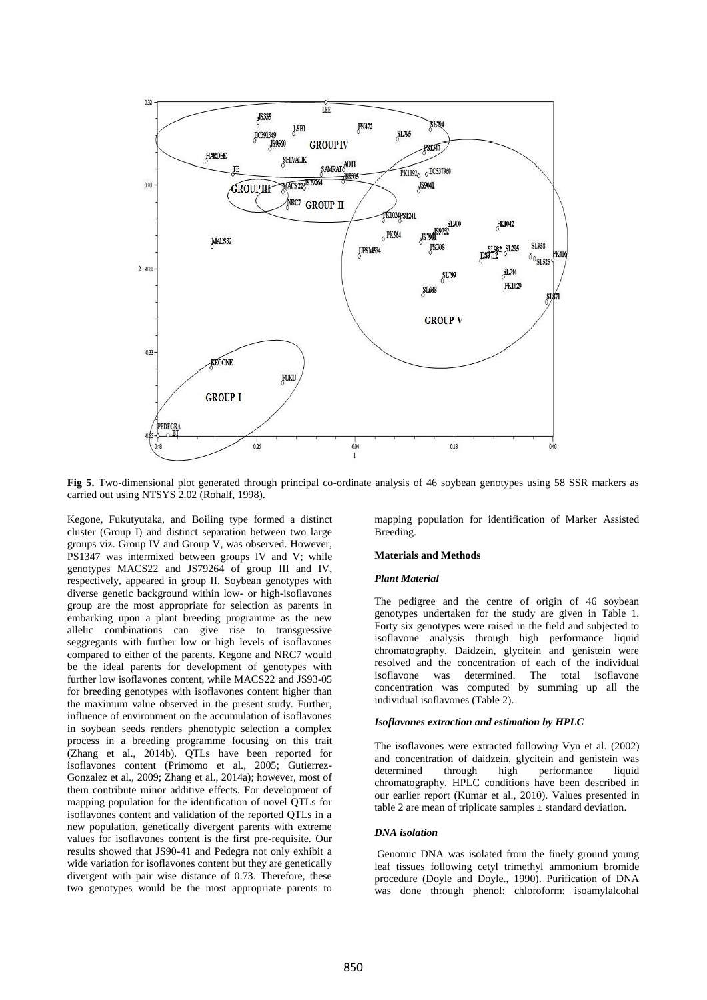

**Fig 5.** Two-dimensional plot generated through principal co-ordinate analysis of 46 soybean genotypes using 58 SSR markers as carried out using NTSYS 2.02 (Rohalf, 1998).

Kegone, Fukutyutaka, and Boiling type formed a distinct cluster (Group I) and distinct separation between two large groups viz. Group IV and Group V, was observed. However, PS1347 was intermixed between groups IV and V; while genotypes MACS22 and JS79264 of group III and IV, respectively, appeared in group II. Soybean genotypes with diverse genetic background within low- or high-isoflavones group are the most appropriate for selection as parents in embarking upon a plant breeding programme as the new allelic combinations can give rise to transgressive seggregants with further low or high levels of isoflavones compared to either of the parents. Kegone and NRC7 would be the ideal parents for development of genotypes with further low isoflavones content, while MACS22 and JS93-05 for breeding genotypes with isoflavones content higher than the maximum value observed in the present study. Further, influence of environment on the accumulation of isoflavones in soybean seeds renders phenotypic selection a complex process in a breeding programme focusing on this trait (Zhang et al., 2014b). QTLs have been reported for isoflavones content (Primomo et al., 2005; Gutierrez-Gonzalez et al., 2009; Zhang et al., 2014a); however, most of them contribute minor additive effects. For development of mapping population for the identification of novel QTLs for isoflavones content and validation of the reported QTLs in a new population, genetically divergent parents with extreme values for isoflavones content is the first pre-requisite. Our results showed that JS90-41 and Pedegra not only exhibit a wide variation for isoflavones content but they are genetically divergent with pair wise distance of 0.73. Therefore, these two genotypes would be the most appropriate parents to

mapping population for identification of Marker Assisted Breeding.

#### **Materials and Methods**

#### *Plant Material*

The pedigree and the centre of origin of 46 soybean genotypes undertaken for the study are given in Table 1. Forty six genotypes were raised in the field and subjected to isoflavone analysis through high performance liquid chromatography. Daidzein, glycitein and genistein were resolved and the concentration of each of the individual isoflavone was determined. The total isoflavone concentration was computed by summing up all the individual isoflavones (Table 2).

#### *Isoflavones extraction and estimation by HPLC*

The isoflavones were extracted followin*g* Vyn et al. (2002) and concentration of daidzein, glycitein and genistein was determined through high performance chromatography. HPLC conditions have been described in our earlier report (Kumar et al., 2010). Values presented in table 2 are mean of triplicate samples  $\pm$  standard deviation.

#### *DNA isolation*

Genomic DNA was isolated from the finely ground young leaf tissues following cetyl trimethyl ammonium bromide procedure (Doyle and Doyle., 1990). Purification of DNA was done through phenol: chloroform: isoamylalcohal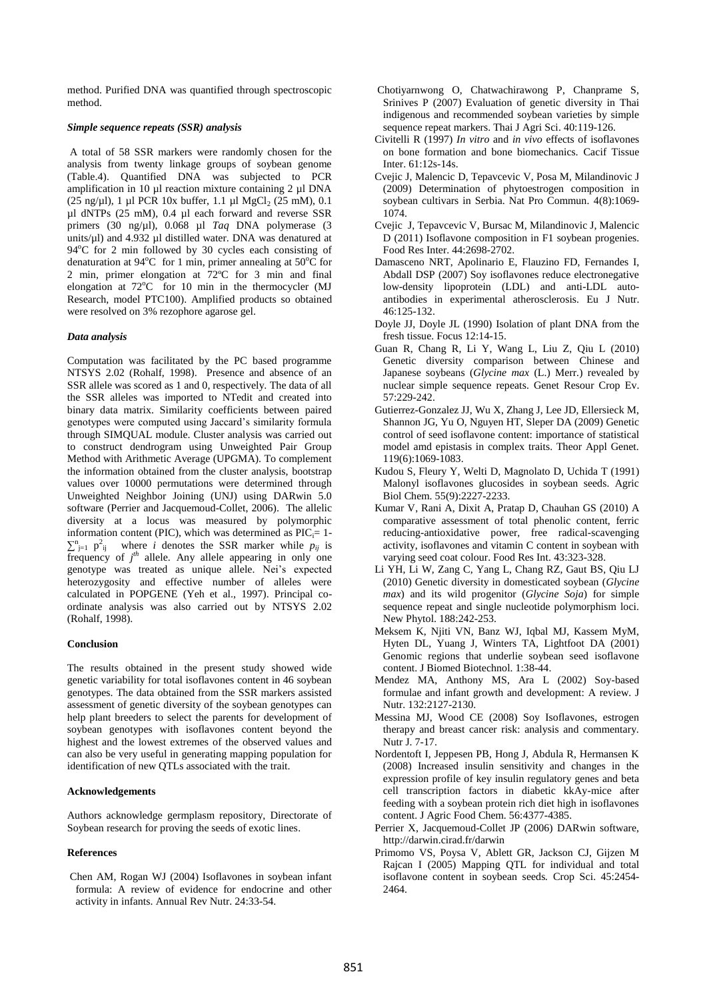method. Purified DNA was quantified through spectroscopic method.

# *Simple sequence repeats (SSR) analysis*

A total of 58 SSR markers were randomly chosen for the analysis from twenty linkage groups of soybean genome (Table.4). Quantified DNA was subjected to PCR amplification in 10 µl reaction mixture containing 2 µl DNA (25 ng/ $\mu$ l), 1  $\mu$ l PCR 10x buffer, 1.1  $\mu$ l MgCl<sub>2</sub> (25 mM), 0.1 µl dNTPs (25 mM), 0.4 µl each forward and reverse SSR primers (30 ng/µl), 0.068 µl *Taq* DNA polymerase (3 units/µl) and 4.932 µl distilled water. DNA was denatured at  $94^{\circ}$ C for 2 min followed by 30 cycles each consisting of denaturation at 94 $^{\circ}$ C for 1 min, primer annealing at 50 $^{\circ}$ C for 2 min, primer elongation at 72ºC for 3 min and final elongation at  $72^{\circ}$ C for 10 min in the thermocycler (MJ Research, model PTC100). Amplified products so obtained were resolved on 3% rezophore agarose gel.

# *Data analysis*

Computation was facilitated by the PC based programme NTSYS 2.02 (Rohalf, 1998). Presence and absence of an SSR allele was scored as 1 and 0, respectively. The data of all the SSR alleles was imported to NTedit and created into binary data matrix. Similarity coefficients between paired genotypes were computed using Jaccard's similarity formula through SIMQUAL module. Cluster analysis was carried out to construct dendrogram using Unweighted Pair Group Method with Arithmetic Average (UPGMA). To complement the information obtained from the cluster analysis, bootstrap values over 10000 permutations were determined through Unweighted Neighbor Joining (UNJ) using DARwin 5.0 software (Perrier and Jacquemoud-Collet, 2006). The allelic diversity at a locus was measured by polymorphic information content (PIC), which was determined as  $\text{PIC}_{i}= 1 \sum_{j=1}^{n} p_{ij}^2$  where *i* denotes the SSR marker while  $p_{ij}$  is frequency of  $j<sup>th</sup>$  allele. Any allele appearing in only one genotype was treated as unique allele. Nei's expected heterozygosity and effective number of alleles were calculated in POPGENE (Yeh et al., 1997). Principal coordinate analysis was also carried out by NTSYS 2.02 (Rohalf, 1998).

#### **Conclusion**

The results obtained in the present study showed wide genetic variability for total isoflavones content in 46 soybean genotypes. The data obtained from the SSR markers assisted assessment of genetic diversity of the soybean genotypes can help plant breeders to select the parents for development of soybean genotypes with isoflavones content beyond the highest and the lowest extremes of the observed values and can also be very useful in generating mapping population for identification of new QTLs associated with the trait.

#### **Acknowledgements**

Authors acknowledge germplasm repository, Directorate of Soybean research for proving the seeds of exotic lines.

### **References**

Chen AM, Rogan WJ (2004) Isoflavones in soybean infant formula: A review of evidence for endocrine and other activity in infants. Annual Rev Nutr. 24:33-54.

- Chotiyarnwong O, Chatwachirawong P, Chanprame S, Srinives P (2007) Evaluation of genetic diversity in Thai indigenous and recommended soybean varieties by simple sequence repeat markers. Thai J Agri Sci. 40:119-126.
- Civitelli R (1997) *In vitro* and *in vivo* effects of isoflavones on bone formation and bone biomechanics*.* Cacif Tissue Inter. 61:12s-14s.
- Cvejic J, Malencic D, Tepavcevic V, Posa M, Milandinovic J (2009) Determination of phytoestrogen composition in soybean cultivars in Serbia. Nat Pro Commun. 4(8):1069- 1074.
- Cvejic J, Tepavcevic V, Bursac M, Milandinovic J, Malencic D (2011) Isoflavone composition in F1 soybean progenies. Food Res Inter. 44:2698-2702.
- Damasceno NRT, Apolinario E, Flauzino FD, Fernandes I, Abdall DSP (2007) Soy isoflavones reduce electronegative low-density lipoprotein (LDL) and anti-LDL autoantibodies in experimental atherosclerosis. Eu J Nutr. 46:125-132.
- Doyle JJ, Doyle JL (1990) Isolation of plant DNA from the fresh tissue. Focus 12:14-15.
- Guan R, Chang R, Li Y, Wang L, Liu Z, Qiu L (2010) Genetic diversity comparison between Chinese and Japanese soybeans (*Glycine max* (L.) Merr.) revealed by nuclear simple sequence repeats. Genet Resour Crop Ev. 57:229-242.
- Gutierrez-Gonzalez JJ, Wu X, Zhang J, Lee JD, Ellersieck M, Shannon JG, Yu O, Nguyen HT, Sleper DA (2009) Genetic control of seed isoflavone content: importance of statistical model amd epistasis in complex traits. Theor Appl Genet. 119(6):1069-1083.
- Kudou S, Fleury Y, Welti D, Magnolato D, Uchida T (1991) Malonyl isoflavones glucosides in soybean seeds. Agric Biol Chem. 55(9):2227-2233.
- Kumar V, Rani A, Dixit A, Pratap D, Chauhan GS (2010) A comparative assessment of total phenolic content, ferric reducing-antioxidative power, free radical-scavenging activity, isoflavones and vitamin C content in soybean with varying seed coat colour. Food Res Int. 43:323-328.
- Li YH, Li W, Zang C, Yang L, Chang RZ, Gaut BS, Qiu LJ (2010) Genetic diversity in domesticated soybean (*Glycine max*) and its wild progenitor (*Glycine Soja*) for simple sequence repeat and single nucleotide polymorphism loci. New Phytol. 188:242-253.
- Meksem K, Njiti VN, Banz WJ, Iqbal MJ, Kassem MyM, Hyten DL, Yuang J, Winters TA, Lightfoot DA (2001) Genomic regions that underlie soybean seed isoflavone content. J Biomed Biotechnol. 1:38-44.
- Mendez MA, Anthony MS, Ara L (2002) Soy-based formulae and infant growth and development: A review. J Nutr. 132:2127-2130.
- Messina MJ, Wood CE (2008) Soy Isoflavones, estrogen therapy and breast cancer risk: analysis and commentary. Nutr J. 7-17.
- Nordentoft I, Jeppesen PB, Hong J, Abdula R, Hermansen K (2008) Increased insulin sensitivity and changes in the expression profile of key insulin regulatory genes and beta cell transcription factors in diabetic kkAy-mice after feeding with a soybean protein rich diet high in isoflavones content. J Agric Food Chem. 56:4377-4385.
- Perrier X, Jacquemoud-Collet JP (2006) DARwin software, http://darwin.cirad.fr/darwin
- Primomo VS, Poysa V, Ablett GR, Jackson CJ, Gijzen M Rajcan I (2005) Mapping QTL for individual and total isoflavone content in soybean seeds*.* Crop Sci. 45:2454- 2464.